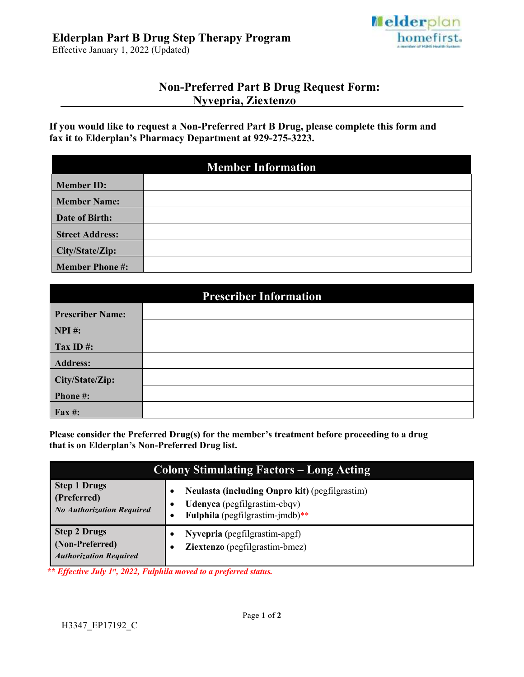# **Elderplan Part B Drug Step Therapy Program**

Effective January 1, 2022 (Updated)



## **Non-Preferred Part B Drug Request Form: Nyvepria, Ziextenzo**

**If you would like to request a Non-Preferred Part B Drug, please complete this form and fax it to Elderplan's Pharmacy Department at 929-275-3223.** 

| <b>Member Information</b> |  |  |
|---------------------------|--|--|
| <b>Member ID:</b>         |  |  |
| <b>Member Name:</b>       |  |  |
| Date of Birth:            |  |  |
| <b>Street Address:</b>    |  |  |
| City/State/Zip:           |  |  |
| <b>Member Phone #:</b>    |  |  |

| <b>Prescriber Information</b> |  |  |
|-------------------------------|--|--|
| <b>Prescriber Name:</b>       |  |  |
| $NPI$ #:                      |  |  |
| Tax ID $#$ :                  |  |  |
| <b>Address:</b>               |  |  |
| City/State/Zip:               |  |  |
| Phone#:                       |  |  |
| <b>Fax#:</b>                  |  |  |

**Please consider the Preferred Drug(s) for the member's treatment before proceeding to a drug that is on Elderplan's Non-Preferred Drug list.** 

| <b>Colony Stimulating Factors – Long Acting</b>                         |                                                                                                                   |  |
|-------------------------------------------------------------------------|-------------------------------------------------------------------------------------------------------------------|--|
| <b>Step 1 Drugs</b><br>(Preferred)<br><b>No Authorization Required</b>  | Neulasta (including Onpro kit) (pegfilgrastim)<br>Udenyca (pegfilgrastim-cbqv)<br>Fulphila (pegfilgrastim-jmdb)** |  |
| <b>Step 2 Drugs</b><br>(Non-Preferred)<br><b>Authorization Required</b> | Nyvepria (pegfilgrastim-apgf)<br>Ziextenzo (pegfilgrastim-bmez)                                                   |  |

*\*\* Effective July 1st, 2022, Fulphila moved to a preferred status.*